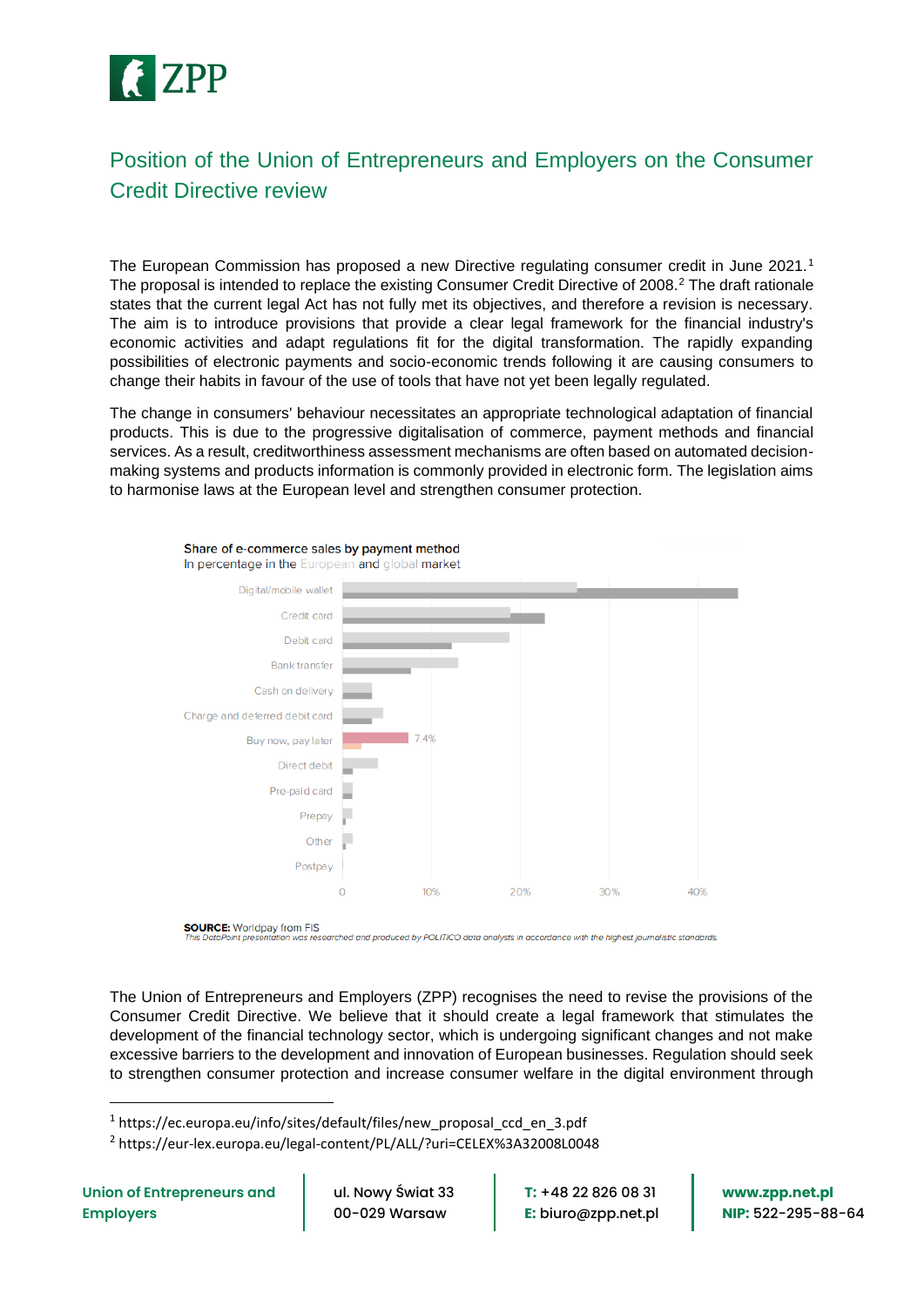

# Position of the Union of Entrepreneurs and Employers on the Consumer Credit Directive review

The European Commission has proposed a new Directive regulating consumer credit in June 2021.<sup>1</sup> The proposal is intended to replace the existing Consumer Credit Directive of 2008.<sup>2</sup> The draft rationale states that the current legal Act has not fully met its objectives, and therefore a revision is necessary. The aim is to introduce provisions that provide a clear legal framework for the financial industry's economic activities and adapt regulations fit for the digital transformation. The rapidly expanding possibilities of electronic payments and socio-economic trends following it are causing consumers to change their habits in favour of the use of tools that have not yet been legally regulated.

The change in consumers' behaviour necessitates an appropriate technological adaptation of financial products. This is due to the progressive digitalisation of commerce, payment methods and financial services. As a result, creditworthiness assessment mechanisms are often based on automated decisionmaking systems and products information is commonly provided in electronic form. The legislation aims to harmonise laws at the European level and strengthen consumer protection.



Share of e-commerce sales by payment method

o<br>esearched and produced by POLITICO data analysts in accordance with the highest journalistic standards

The Union of Entrepreneurs and Employers (ZPP) recognises the need to revise the provisions of the Consumer Credit Directive. We believe that it should create a legal framework that stimulates the development of the financial technology sector, which is undergoing significant changes and not make excessive barriers to the development and innovation of European businesses. Regulation should seek to strengthen consumer protection and increase consumer welfare in the digital environment through

1 https://ec.europa.eu/info/sites/default/files/new\_proposal\_ccd\_en\_3.pdf

2 https://eur-lex.europa.eu/legal-content/PL/ALL/?uri=CELEX%3A32008L0048

ul. Nowy Świat 33 00-029 Warsaw

**T:** +48 22 826 08 31 **E:** biuro@zpp.net.pl **www.zpp.net.pl NIP:** 522-295-88-64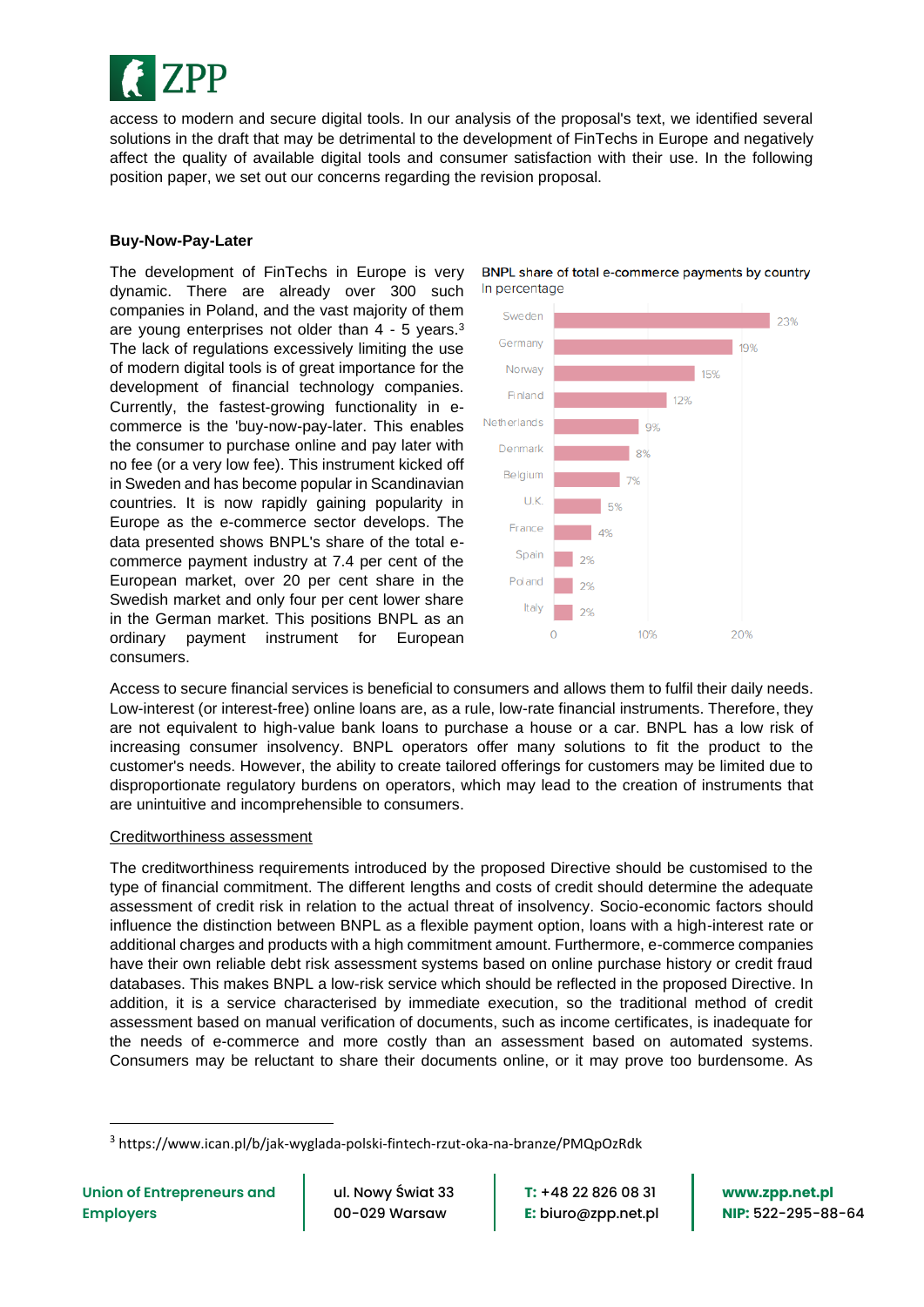

access to modern and secure digital tools. In our analysis of the proposal's text, we identified several solutions in the draft that may be detrimental to the development of FinTechs in Europe and negatively affect the quality of available digital tools and consumer satisfaction with their use. In the following position paper, we set out our concerns regarding the revision proposal.

## **Buy-Now-Pay-Later**

The development of FinTechs in Europe is very dynamic. There are already over 300 such companies in Poland, and the vast majority of them are young enterprises not older than 4 - 5 years.<sup>3</sup> The lack of regulations excessively limiting the use of modern digital tools is of great importance for the development of financial technology companies. Currently, the fastest-growing functionality in ecommerce is the 'buy-now-pay-later. This enables the consumer to purchase online and pay later with no fee (or a very low fee). This instrument kicked off in Sweden and has become popular in Scandinavian countries. It is now rapidly gaining popularity in Europe as the e-commerce sector develops. The data presented shows BNPL's share of the total ecommerce payment industry at 7.4 per cent of the European market, over 20 per cent share in the Swedish market and only four per cent lower share in the German market. This positions BNPL as an ordinary payment instrument for European consumers.





Access to secure financial services is beneficial to consumers and allows them to fulfil their daily needs. Low-interest (or interest-free) online loans are, as a rule, low-rate financial instruments. Therefore, they are not equivalent to high-value bank loans to purchase a house or a car. BNPL has a low risk of increasing consumer insolvency. BNPL operators offer many solutions to fit the product to the customer's needs. However, the ability to create tailored offerings for customers may be limited due to disproportionate regulatory burdens on operators, which may lead to the creation of instruments that are unintuitive and incomprehensible to consumers.

### Creditworthiness assessment

The creditworthiness requirements introduced by the proposed Directive should be customised to the type of financial commitment. The different lengths and costs of credit should determine the adequate assessment of credit risk in relation to the actual threat of insolvency. Socio-economic factors should influence the distinction between BNPL as a flexible payment option, loans with a high-interest rate or additional charges and products with a high commitment amount. Furthermore, e-commerce companies have their own reliable debt risk assessment systems based on online purchase history or credit fraud databases. This makes BNPL a low-risk service which should be reflected in the proposed Directive. In addition, it is a service characterised by immediate execution, so the traditional method of credit assessment based on manual verification of documents, such as income certificates, is inadequate for the needs of e-commerce and more costly than an assessment based on automated systems. Consumers may be reluctant to share their documents online, or it may prove too burdensome. As

**T:** +48 22 826 08 31 **E:** biuro@zpp.net.pl

<sup>3</sup> https://www.ican.pl/b/jak-wyglada-polski-fintech-rzut-oka-na-branze/PMQpOzRdk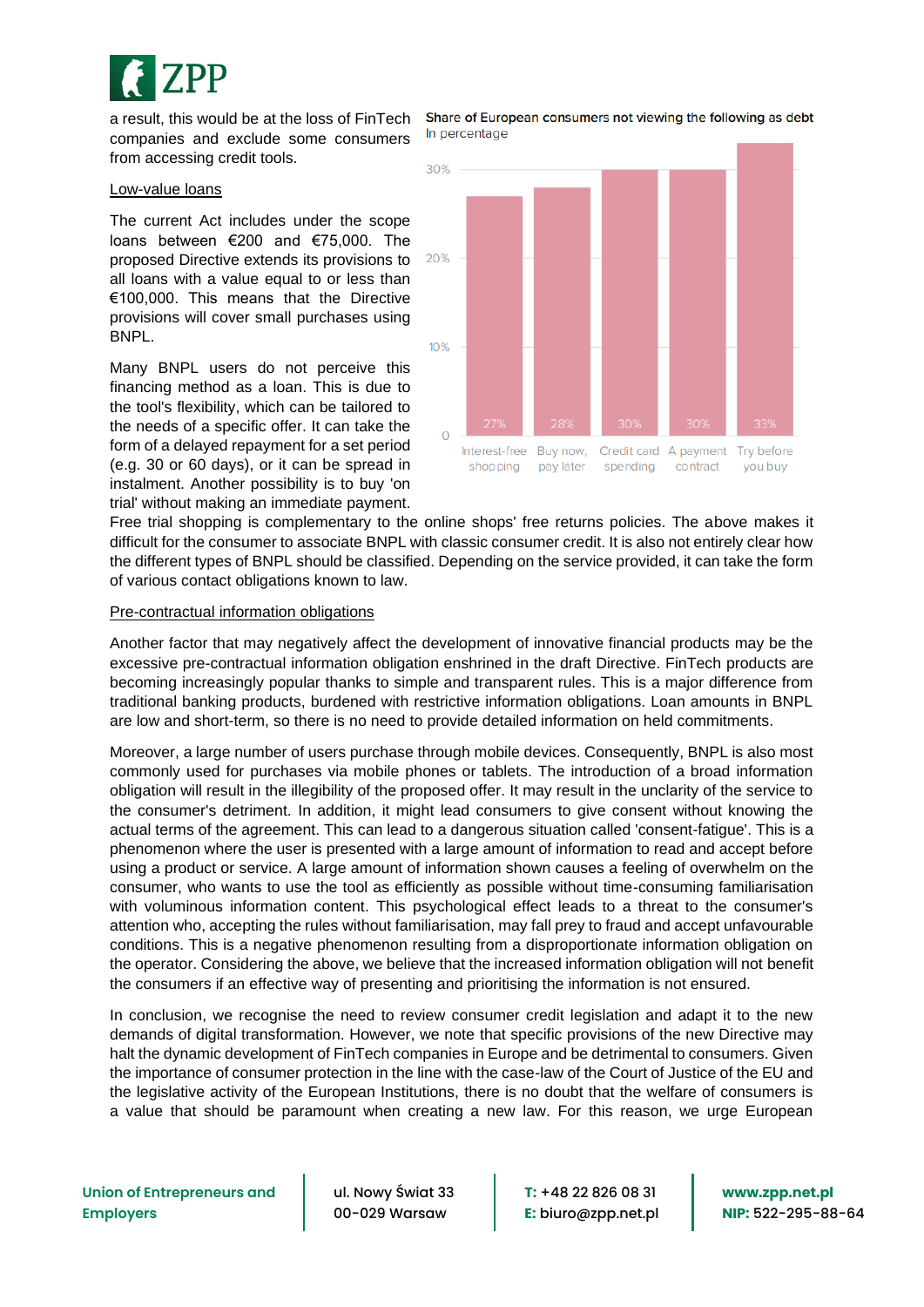

a result, this would be at the loss of FinTech companies and exclude some consumers from accessing credit tools.

#### Low-value loans

The current Act includes under the scope loans between €200 and €75,000. The proposed Directive extends its provisions to all loans with a value equal to or less than €100,000. This means that the Directive provisions will cover small purchases using BNPL.

Many BNPL users do not perceive this financing method as a loan. This is due to the tool's flexibility, which can be tailored to the needs of a specific offer. It can take the form of a delayed repayment for a set period (e.g. 30 or 60 days), or it can be spread in instalment. Another possibility is to buy 'on trial' without making an immediate payment.

Share of European consumers not viewing the following as debt In percentage



Free trial shopping is complementary to the online shops' free returns policies. The above makes it difficult for the consumer to associate BNPL with classic consumer credit. It is also not entirely clear how the different types of BNPL should be classified. Depending on the service provided, it can take the form of various contact obligations known to law.

### Pre-contractual information obligations

Another factor that may negatively affect the development of innovative financial products may be the excessive pre-contractual information obligation enshrined in the draft Directive. FinTech products are becoming increasingly popular thanks to simple and transparent rules. This is a major difference from traditional banking products, burdened with restrictive information obligations. Loan amounts in BNPL are low and short-term, so there is no need to provide detailed information on held commitments.

Moreover, a large number of users purchase through mobile devices. Consequently, BNPL is also most commonly used for purchases via mobile phones or tablets. The introduction of a broad information obligation will result in the illegibility of the proposed offer. It may result in the unclarity of the service to the consumer's detriment. In addition, it might lead consumers to give consent without knowing the actual terms of the agreement. This can lead to a dangerous situation called 'consent-fatigue'. This is a phenomenon where the user is presented with a large amount of information to read and accept before using a product or service. A large amount of information shown causes a feeling of overwhelm on the consumer, who wants to use the tool as efficiently as possible without time-consuming familiarisation with voluminous information content. This psychological effect leads to a threat to the consumer's attention who, accepting the rules without familiarisation, may fall prey to fraud and accept unfavourable conditions. This is a negative phenomenon resulting from a disproportionate information obligation on the operator. Considering the above, we believe that the increased information obligation will not benefit the consumers if an effective way of presenting and prioritising the information is not ensured.

In conclusion, we recognise the need to review consumer credit legislation and adapt it to the new demands of digital transformation. However, we note that specific provisions of the new Directive may halt the dynamic development of FinTech companies in Europe and be detrimental to consumers. Given the importance of consumer protection in the line with the case-law of the Court of Justice of the EU and the legislative activity of the European Institutions, there is no doubt that the welfare of consumers is a value that should be paramount when creating a new law. For this reason, we urge European

**Union of Entrepreneurs and Employers**

ul. Nowy Świat 33 00-029 Warsaw

**T:** +48 22 826 08 31 **E:** biuro@zpp.net.pl